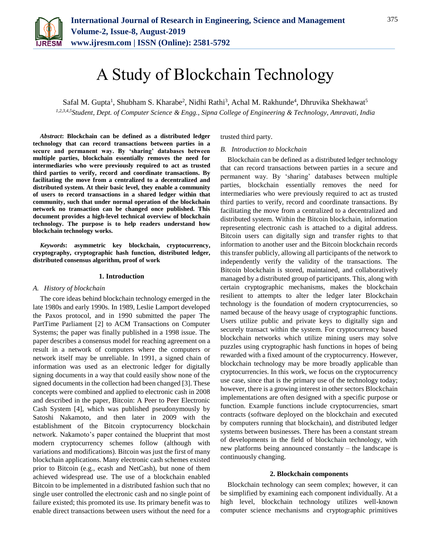

# A Study of Blockchain Technology

Safal M. Gupta<sup>1</sup>, Shubham S. Kharabe<sup>2</sup>, Nidhi Rathi<sup>3</sup>, Achal M. Rakhunde<sup>4</sup>, Dhruvika Shekhawat<sup>5</sup> *1,2,3,4,5Student, Dept. of Computer Science & Engg., Sipna College of Engineering & Technology, Amravati, India*

*Abstract***: Blockchain can be defined as a distributed ledger technology that can record transactions between parties in a secure and permanent way. By 'sharing' databases between multiple parties, blockchain essentially removes the need for intermediaries who were previously required to act as trusted third parties to verify, record and coordinate transactions. By facilitating the move from a centralized to a decentralized and distributed system. At their basic level, they enable a community of users to record transactions in a shared ledger within that community, such that under normal operation of the blockchain network no transaction can be changed once published. This document provides a high-level technical overview of blockchain technology. The purpose is to help readers understand how blockchain technology works.**

*Keywords***: asymmetric key blockchain, cryptocurrency, cryptography, cryptographic hash function, distributed ledger, distributed consensus algorithm, proof of work**

#### **1. Introduction**

#### *A. History of blockchain*

The core ideas behind blockchain technology emerged in the late 1980s and early 1990s. In 1989, Leslie Lamport developed the Paxos protocol, and in 1990 submitted the paper The PartTime Parliament [2] to ACM Transactions on Computer Systems; the paper was finally published in a 1998 issue. The paper describes a consensus model for reaching agreement on a result in a network of computers where the computers or network itself may be unreliable. In 1991, a signed chain of information was used as an electronic ledger for digitally signing documents in a way that could easily show none of the signed documents in the collection had been changed [3]. These concepts were combined and applied to electronic cash in 2008 and described in the paper, Bitcoin: A Peer to Peer Electronic Cash System [4], which was published pseudonymously by Satoshi Nakamoto, and then later in 2009 with the establishment of the Bitcoin cryptocurrency blockchain network. Nakamoto's paper contained the blueprint that most modern cryptocurrency schemes follow (although with variations and modifications). Bitcoin was just the first of many blockchain applications. Many electronic cash schemes existed prior to Bitcoin (e.g., ecash and NetCash), but none of them achieved widespread use. The use of a blockchain enabled Bitcoin to be implemented in a distributed fashion such that no single user controlled the electronic cash and no single point of failure existed; this promoted its use. Its primary benefit was to enable direct transactions between users without the need for a

trusted third party.

## *B. Introduction to blockchain*

Blockchain can be defined as a distributed ledger technology that can record transactions between parties in a secure and permanent way. By 'sharing' databases between multiple parties, blockchain essentially removes the need for intermediaries who were previously required to act as trusted third parties to verify, record and coordinate transactions. By facilitating the move from a centralized to a decentralized and distributed system. Within the Bitcoin blockchain, information representing electronic cash is attached to a digital address. Bitcoin users can digitally sign and transfer rights to that information to another user and the Bitcoin blockchain records this transfer publicly, allowing all participants of the network to independently verify the validity of the transactions. The Bitcoin blockchain is stored, maintained, and collaboratively managed by a distributed group of participants. This, along with certain cryptographic mechanisms, makes the blockchain resilient to attempts to alter the ledger later Blockchain technology is the foundation of modern cryptocurrencies, so named because of the heavy usage of cryptographic functions. Users utilize public and private keys to digitally sign and securely transact within the system. For cryptocurrency based blockchain networks which utilize mining users may solve puzzles using cryptographic hash functions in hopes of being rewarded with a fixed amount of the cryptocurrency. However, blockchain technology may be more broadly applicable than cryptocurrencies. In this work, we focus on the cryptocurrency use case, since that is the primary use of the technology today; however, there is a growing interest in other sectors Blockchain implementations are often designed with a specific purpose or function. Example functions include cryptocurrencies, smart contracts (software deployed on the blockchain and executed by computers running that blockchain), and distributed ledger systems between businesses. There has been a constant stream of developments in the field of blockchain technology, with new platforms being announced constantly – the landscape is continuously changing.

#### **2. Blockchain components**

Blockchain technology can seem complex; however, it can be simplified by examining each component individually. At a high level, blockchain technology utilizes well-known computer science mechanisms and cryptographic primitives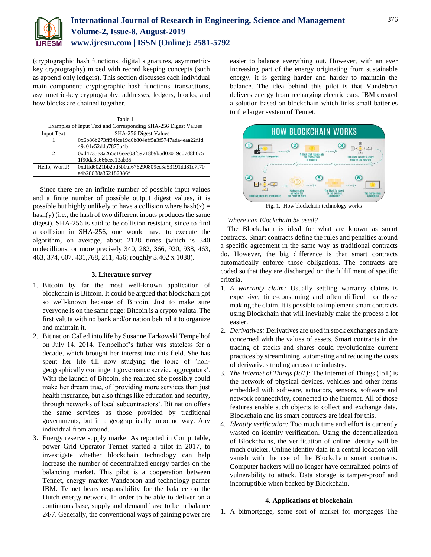(cryptographic hash functions, digital signatures, asymmetrickey cryptography) mixed with record keeping concepts (such as append only ledgers). This section discusses each individual main component: cryptographic hash functions, transactions, asymmetric-key cryptography, addresses, ledgers, blocks, and how blocks are chained together.

| Table 1                                                        |
|----------------------------------------------------------------|
| Examples of Input Text and Corresponding SHA-256 Digest Values |

| <b>Input Text</b> | SHA-256 Digest Values                            |
|-------------------|--------------------------------------------------|
|                   | 0x6b86b273ff34fce19d6b804eff5a3f5747ada4eaa22f1d |
|                   | 49c01e52ddb7875b4b                               |
|                   | 0xd4735e3a265e16eee03f59718b9b5d03019c07d8b6c5   |
|                   | 1f90da3a666eec13ab35                             |
| Hello, World!     | 0xdffd6021bb2bd5b0af676290809ec3a53191dd81c7f70  |
|                   | a4b28688a362182986f                              |

Since there are an infinite number of possible input values and a finite number of possible output digest values, it is possible but highly unlikely to have a collision where  $hash(x) =$ hash(y) (i.e., the hash of two different inputs produces the same digest). SHA-256 is said to be collision resistant, since to find a collision in SHA-256, one would have to execute the algorithm, on average, about 2128 times (which is 340 undecillions, or more precisely 340, 282, 366, 920, 938, 463, 463, 374, 607, 431,768, 211, 456; roughly 3.402 x 1038).

## **3. Literature survey**

- 1. Bitcoin by far the most well-known application of blockchain is Bitcoin. It could be argued that blockchain got so well-known because of Bitcoin. Just to make sure everyone is on the same page: Bitcoin is a crypto valuta. The first valuta with no bank and/or nation behind it to organize and maintain it.
- 2. Bit nation Called into life by Susanne Tarkowski Tempelhof on July 14, 2014. Tempelhof's father was stateless for a decade, which brought her interest into this field. She has spent her life till now studying the topic of 'nongeographically contingent governance service aggregators'. With the launch of Bitcoin, she realized she possibly could make her dream true, of 'providing more services than just health insurance, but also things like education and security, through networks of local subcontractors'. Bit nation offers the same services as those provided by traditional governments, but in a geographically unbound way. Any individual from around.
- 3. Energy reserve supply market As reported in Computable, power Grid Operator Tennet started a pilot in 2017, to investigate whether blockchain technology can help increase the number of decentralized energy parties on the balancing market. This pilot is a cooperation between Tennet, energy market Vandebron and technology parner IBM. Tennet bears responsibility for the balance on the Dutch energy network. In order to be able to deliver on a continuous base, supply and demand have to be in balance 24/7. Generally, the conventional ways of gaining power are

easier to balance everything out. However, with an ever increasing part of the energy originating from sustainable energy, it is getting harder and harder to maintain the balance. The idea behind this pilot is that Vandebron delivers energy from recharging electric cars. IBM created a solution based on blockchain which links small batteries to the larger system of Tennet.



Fig. 1. How blockchain technology works

# *Where can Blockchain be used?*

The Blockchain is ideal for what are known as smart contracts. Smart contracts define the rules and penalties around a specific agreement in the same way as traditional contracts do. However, the big difference is that smart contracts automatically enforce those obligations. The contracts are coded so that they are discharged on the fulfillment of specific criteria.

- 1. *A warranty claim:* Usually settling warranty claims is expensive, time-consuming and often difficult for those making the claim. It is possible to implement smart contracts using Blockchain that will inevitably make the process a lot easier.
- 2. *Derivatives:* Derivatives are used in stock exchanges and are concerned with the values of assets. Smart contracts in the trading of stocks and shares could revolutionize current practices by streamlining, automating and reducing the costs of derivatives trading across the industry.
- 3. *The Internet of Things (IoT):* The Internet of Things (IoT) is the network of physical devices, vehicles and other items embedded with software, actuators, sensors, software and network connectivity, connected to the Internet. All of those features enable such objects to collect and exchange data. Blockchain and its smart contracts are ideal for this.
- 4. *Identity verification:* Too much time and effort is currently wasted on identity verification. Using the decentralization of Blockchains, the verification of online identity will be much quicker. Online identity data in a central location will vanish with the use of the Blockchain smart contracts. Computer hackers will no longer have centralized points of vulnerability to attack. Data storage is tamper-proof and incorruptible when backed by Blockchain.

## **4. Applications of blockchain**

1. A bitmortgage, some sort of market for mortgages The